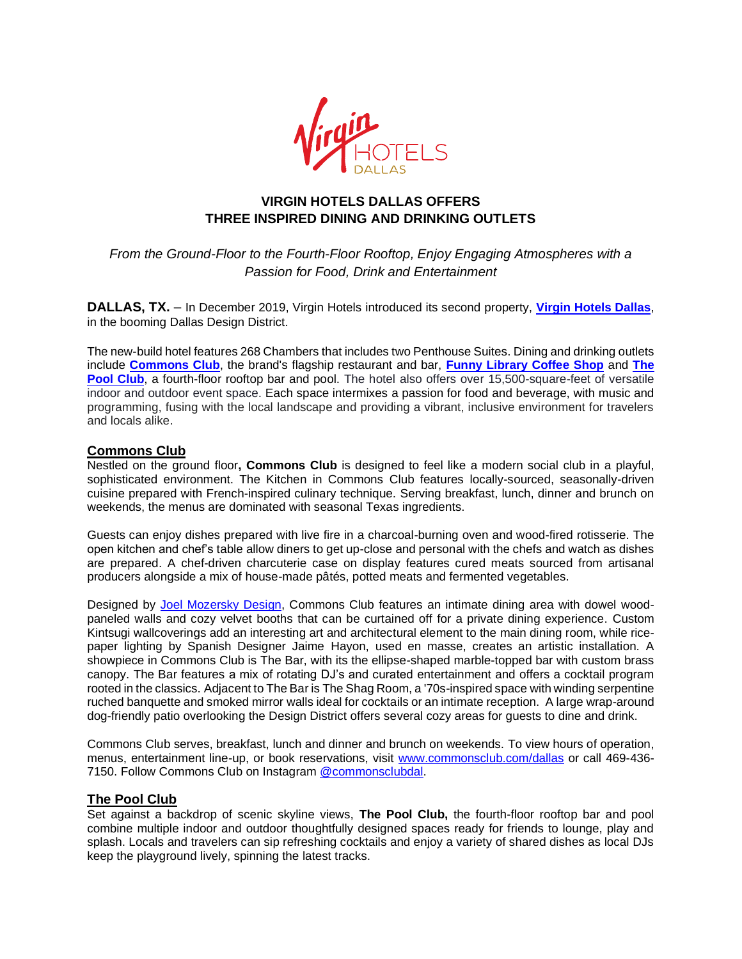

# **VIRGIN HOTELS DALLAS OFFERS THREE INSPIRED DINING AND DRINKING OUTLETS**

*From the Ground-Floor to the Fourth-Floor Rooftop, Enjoy Engaging Atmospheres with a Passion for Food, Drink and Entertainment*

**DALLAS, TX.** – In December 2019, Virgin Hotels introduced its second property, **[Virgin Hotels Dallas](https://virginhotels.com/dallas/)**, in the booming Dallas Design District.

The new-build hotel features 268 Chambers that includes two Penthouse Suites. Dining and drinking outlets include **[Commons Club](http://commonsclub.com/dallas)**, the brand's flagship restaurant and bar, **[Funny Library Coffee Shop](https://virginhotels.com/dallas/dine-and-drink/funny-library/)** and **[The](https://virginhotels.com/dallas/dine-and-drink/rooftop/)  [Pool Club](https://virginhotels.com/dallas/dine-and-drink/rooftop/)**, a fourth-floor rooftop bar and pool. The hotel also offers over 15,500-square-feet of versatile indoor and outdoor event space. Each space intermixes a passion for food and beverage, with music and programming, fusing with the local landscape and providing a vibrant, inclusive environment for travelers and locals alike.

## **Commons Club**

Nestled on the ground floor**, Commons Club** is designed to feel like a modern social club in a playful, sophisticated environment. The Kitchen in Commons Club features locally-sourced, seasonally-driven cuisine prepared with French-inspired culinary technique. Serving breakfast, lunch, dinner and brunch on weekends, the menus are dominated with seasonal Texas ingredients.

Guests can enjoy dishes prepared with live fire in a charcoal-burning oven and wood-fired rotisserie. The open kitchen and chef's table allow diners to get up-close and personal with the chefs and watch as dishes are prepared. A chef-driven charcuterie case on display features cured meats sourced from artisanal producers alongside a mix of house-made pâtés, potted meats and fermented vegetables.

Designed by [Joel Mozersky Design,](https://joelmozersky.com/) Commons Club features an intimate dining area with dowel woodpaneled walls and cozy velvet booths that can be curtained off for a private dining experience. Custom Kintsugi wallcoverings add an interesting art and architectural element to the main dining room, while ricepaper lighting by Spanish Designer Jaime Hayon, used en masse, creates an artistic installation. A showpiece in Commons Club is The Bar, with its the ellipse-shaped marble-topped bar with custom brass canopy. The Bar features a mix of rotating DJ's and curated entertainment and offers a cocktail program rooted in the classics. Adjacent to The Bar is The Shag Room, a '70s-inspired space with winding serpentine ruched banquette and smoked mirror walls ideal for cocktails or an intimate reception. A large wrap-around dog-friendly patio overlooking the Design District offers several cozy areas for guests to dine and drink.

Commons Club serves, breakfast, lunch and dinner and brunch on weekends. To view hours of operation, menus, entertainment line-up, or book reservations, visit [www.commonsclub.com/dallas](http://www.commonsclub.com/dallas%20or%20call%20469-436-7150) or call 469-436- [7150.](http://www.commonsclub.com/dallas%20or%20call%20469-436-7150) Follow Commons Club on Instagram [@commonsclubdal.](https://www.instagram.com/commonsclubdal/)

### **The Pool Club**

Set against a backdrop of scenic skyline views, **The Pool Club,** the fourth-floor rooftop bar and pool combine multiple indoor and outdoor thoughtfully designed spaces ready for friends to lounge, play and splash. Locals and travelers can sip refreshing cocktails and enjoy a variety of shared dishes as local DJs keep the playground lively, spinning the latest tracks.